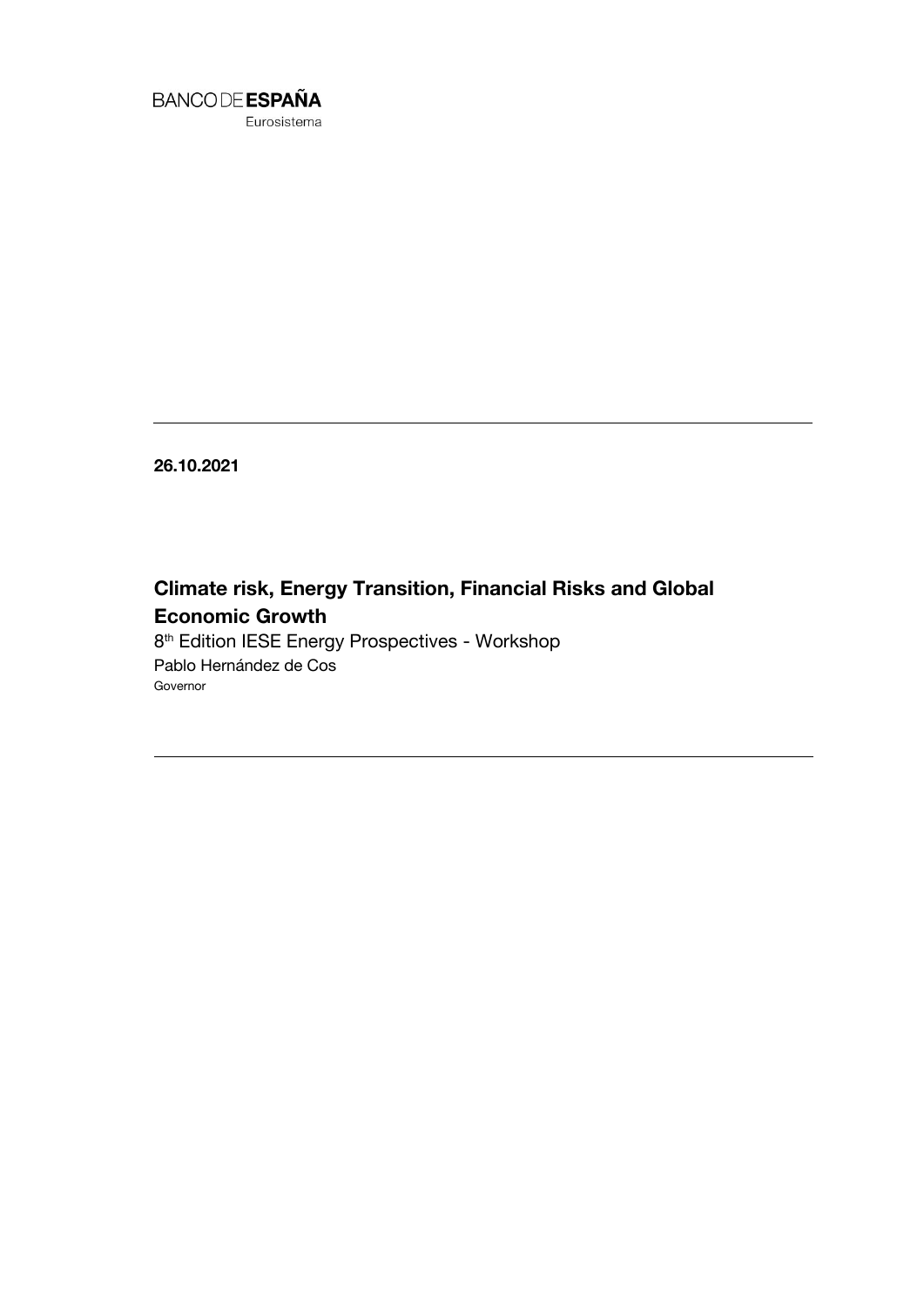

Eurosistema

**26.10.2021**

**Climate risk, Energy Transition, Financial Risks and Global Economic Growth** 8 th Edition IESE Energy Prospectives - Workshop Pablo Hernández de Cos

Governor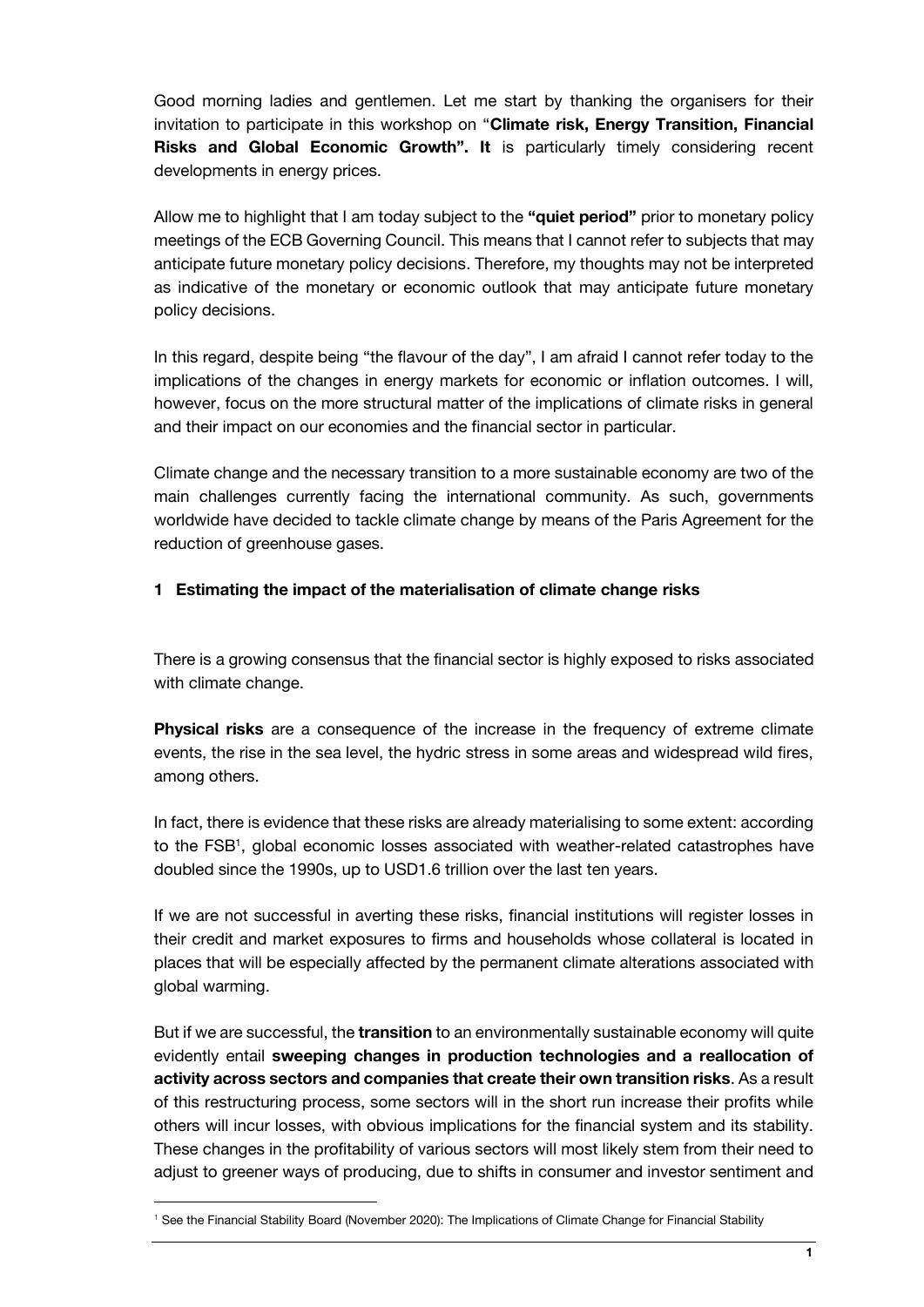Good morning ladies and gentlemen. Let me start by thanking the organisers for their invitation to participate in this workshop on "**Climate risk, Energy Transition, Financial Risks and Global Economic Growth". It** is particularly timely considering recent developments in energy prices.

Allow me to highlight that I am today subject to the **"quiet period"** prior to monetary policy meetings of the ECB Governing Council. This means that I cannot refer to subjects that may anticipate future monetary policy decisions. Therefore, my thoughts may not be interpreted as indicative of the monetary or economic outlook that may anticipate future monetary policy decisions.

In this regard, despite being "the flavour of the day", I am afraid I cannot refer today to the implications of the changes in energy markets for economic or inflation outcomes. I will, however, focus on the more structural matter of the implications of climate risks in general and their impact on our economies and the financial sector in particular.

Climate change and the necessary transition to a more sustainable economy are two of the main challenges currently facing the international community. As such, governments worldwide have decided to tackle climate change by means of the Paris Agreement for the reduction of greenhouse gases.

## **1 Estimating the impact of the materialisation of climate change risks**

There is a growing consensus that the financial sector is highly exposed to risks associated with climate change.

**Physical risks** are a consequence of the increase in the frequency of extreme climate events, the rise in the sea level, the hydric stress in some areas and widespread wild fires, among others.

In fact, there is evidence that these risks are already materialising to some extent: according to the FSB<sup>1</sup>, global economic losses associated with weather-related catastrophes have doubled since the 1990s, up to USD1.6 trillion over the last ten years.

If we are not successful in averting these risks, financial institutions will register losses in their credit and market exposures to firms and households whose collateral is located in places that will be especially affected by the permanent climate alterations associated with global warming.

But if we are successful, the **transition** to an environmentally sustainable economy will quite evidently entail **sweeping changes in production technologies and a reallocation of activity across sectors and companies that create their own transition risks**. As a result of this restructuring process, some sectors will in the short run increase their profits while others will incur losses, with obvious implications for the financial system and its stability. These changes in the profitability of various sectors will most likely stem from their need to adjust to greener ways of producing, due to shifts in consumer and investor sentiment and

l

<sup>&</sup>lt;sup>1</sup> See the Financial Stability Board (November 2020): The Implications of Climate Change for Financial Stability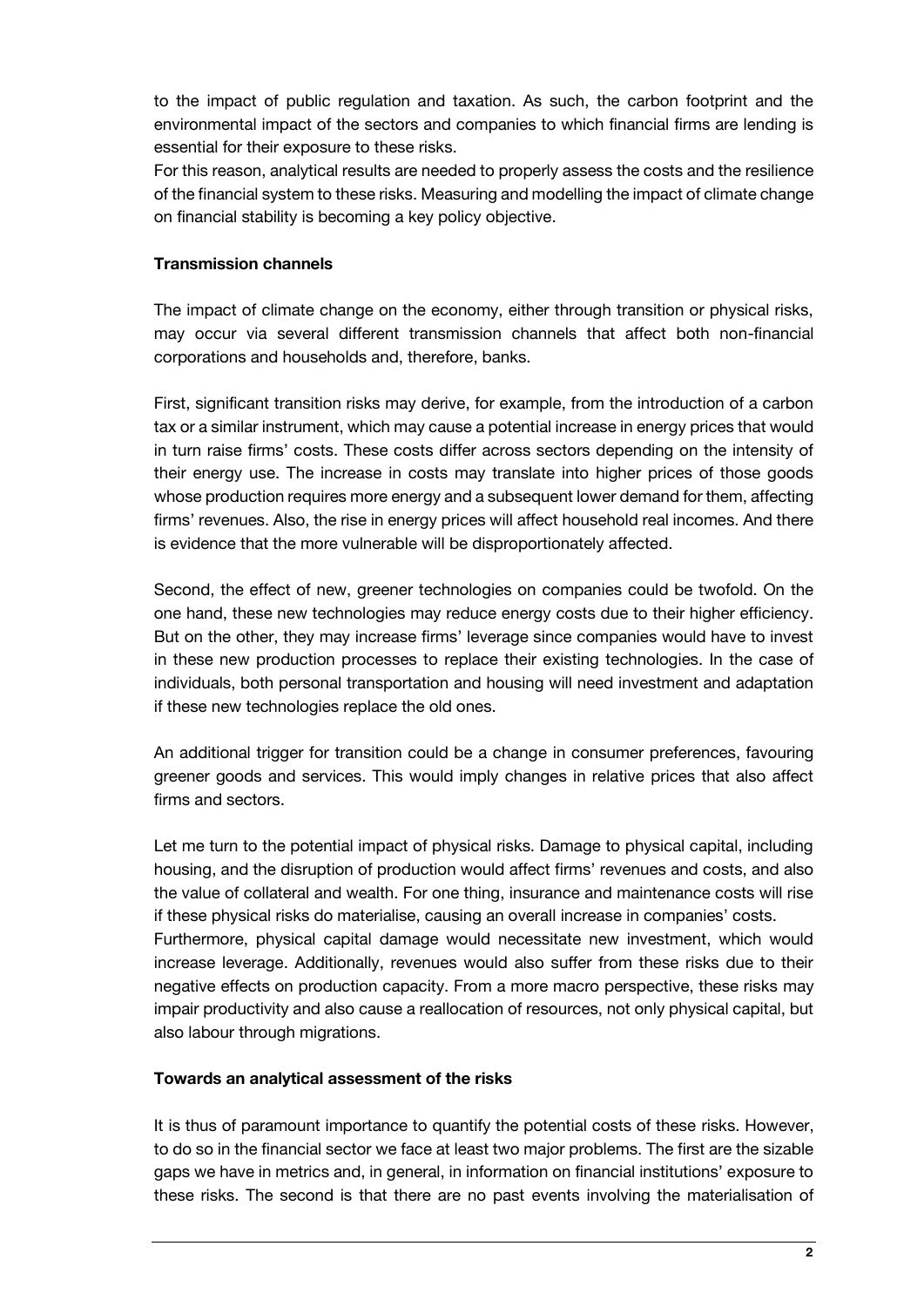to the impact of public regulation and taxation. As such, the carbon footprint and the environmental impact of the sectors and companies to which financial firms are lending is essential for their exposure to these risks.

For this reason, analytical results are needed to properly assess the costs and the resilience of the financial system to these risks. Measuring and modelling the impact of climate change on financial stability is becoming a key policy objective.

## **Transmission channels**

The impact of climate change on the economy, either through transition or physical risks, may occur via several different transmission channels that affect both non-financial corporations and households and, therefore, banks.

First, significant transition risks may derive, for example, from the introduction of a carbon tax or a similar instrument, which may cause a potential increase in energy prices that would in turn raise firms' costs. These costs differ across sectors depending on the intensity of their energy use. The increase in costs may translate into higher prices of those goods whose production requires more energy and a subsequent lower demand for them, affecting firms' revenues. Also, the rise in energy prices will affect household real incomes. And there is evidence that the more vulnerable will be disproportionately affected.

Second, the effect of new, greener technologies on companies could be twofold. On the one hand, these new technologies may reduce energy costs due to their higher efficiency. But on the other, they may increase firms' leverage since companies would have to invest in these new production processes to replace their existing technologies. In the case of individuals, both personal transportation and housing will need investment and adaptation if these new technologies replace the old ones.

An additional trigger for transition could be a change in consumer preferences, favouring greener goods and services. This would imply changes in relative prices that also affect firms and sectors.

Let me turn to the potential impact of physical risks. Damage to physical capital, including housing, and the disruption of production would affect firms' revenues and costs, and also the value of collateral and wealth. For one thing, insurance and maintenance costs will rise if these physical risks do materialise, causing an overall increase in companies' costs. Furthermore, physical capital damage would necessitate new investment, which would increase leverage. Additionally, revenues would also suffer from these risks due to their negative effects on production capacity. From a more macro perspective, these risks may impair productivity and also cause a reallocation of resources, not only physical capital, but also labour through migrations.

### **Towards an analytical assessment of the risks**

It is thus of paramount importance to quantify the potential costs of these risks. However, to do so in the financial sector we face at least two major problems. The first are the sizable gaps we have in metrics and, in general, in information on financial institutions' exposure to these risks. The second is that there are no past events involving the materialisation of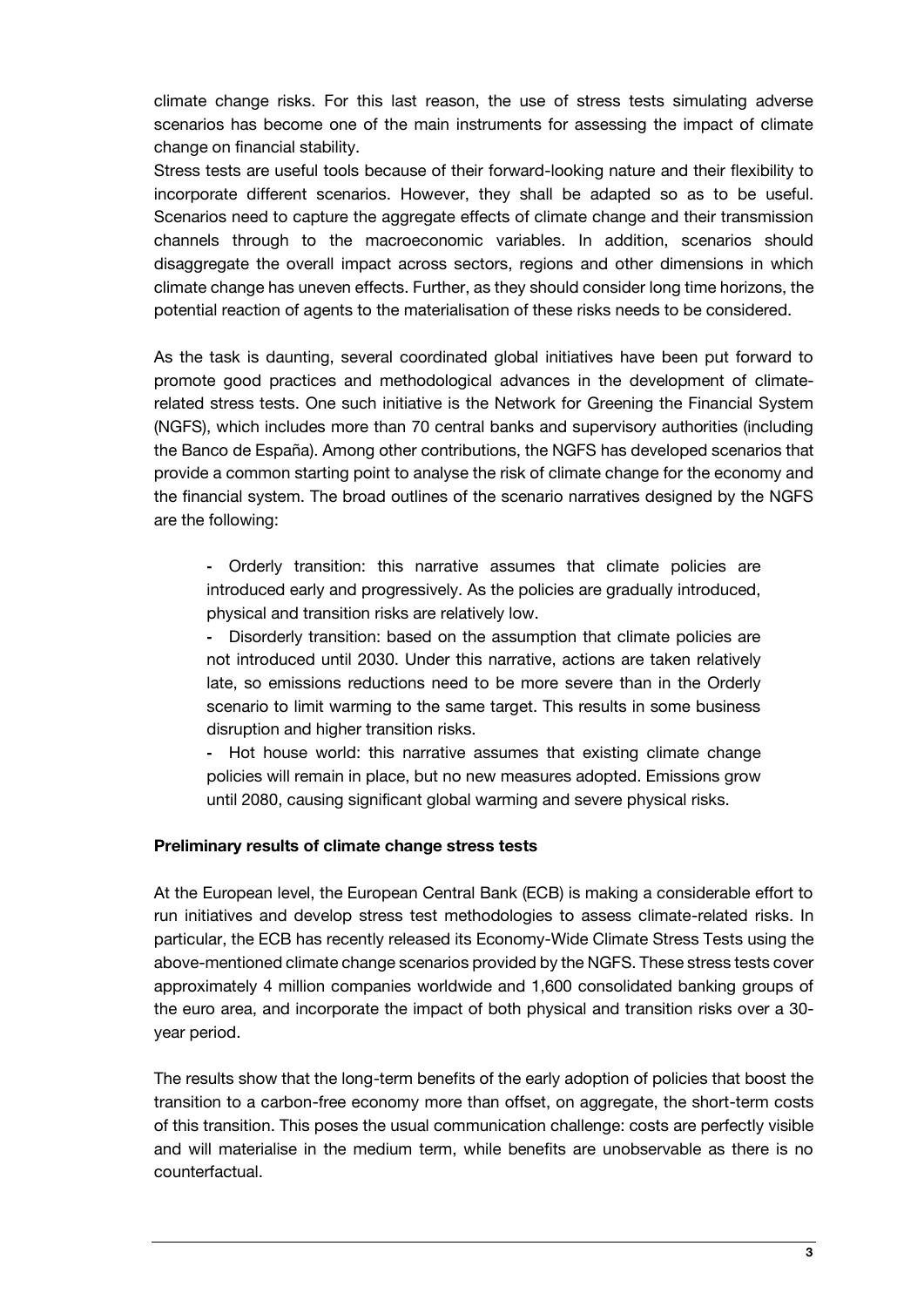climate change risks. For this last reason, the use of stress tests simulating adverse scenarios has become one of the main instruments for assessing the impact of climate change on financial stability.

Stress tests are useful tools because of their forward-looking nature and their flexibility to incorporate different scenarios. However, they shall be adapted so as to be useful. Scenarios need to capture the aggregate effects of climate change and their transmission channels through to the macroeconomic variables. In addition, scenarios should disaggregate the overall impact across sectors, regions and other dimensions in which climate change has uneven effects. Further, as they should consider long time horizons, the potential reaction of agents to the materialisation of these risks needs to be considered.

As the task is daunting, several coordinated global initiatives have been put forward to promote good practices and methodological advances in the development of climaterelated stress tests. One such initiative is the Network for Greening the Financial System (NGFS), which includes more than 70 central banks and supervisory authorities (including the Banco de España). Among other contributions, the NGFS has developed scenarios that provide a common starting point to analyse the risk of climate change for the economy and the financial system. The broad outlines of the scenario narratives designed by the NGFS are the following:

**-** Orderly transition: this narrative assumes that climate policies are introduced early and progressively. As the policies are gradually introduced, physical and transition risks are relatively low.

**-** Disorderly transition: based on the assumption that climate policies are not introduced until 2030. Under this narrative, actions are taken relatively late, so emissions reductions need to be more severe than in the Orderly scenario to limit warming to the same target. This results in some business disruption and higher transition risks.

**-** Hot house world: this narrative assumes that existing climate change policies will remain in place, but no new measures adopted. Emissions grow until 2080, causing significant global warming and severe physical risks.

#### **Preliminary results of climate change stress tests**

At the European level, the European Central Bank (ECB) is making a considerable effort to run initiatives and develop stress test methodologies to assess climate-related risks. In particular, the ECB has recently released its Economy-Wide Climate Stress Tests using the above-mentioned climate change scenarios provided by the NGFS. These stress tests cover approximately 4 million companies worldwide and 1,600 consolidated banking groups of the euro area, and incorporate the impact of both physical and transition risks over a 30 year period.

The results show that the long-term benefits of the early adoption of policies that boost the transition to a carbon-free economy more than offset, on aggregate, the short-term costs of this transition. This poses the usual communication challenge: costs are perfectly visible and will materialise in the medium term, while benefits are unobservable as there is no counterfactual.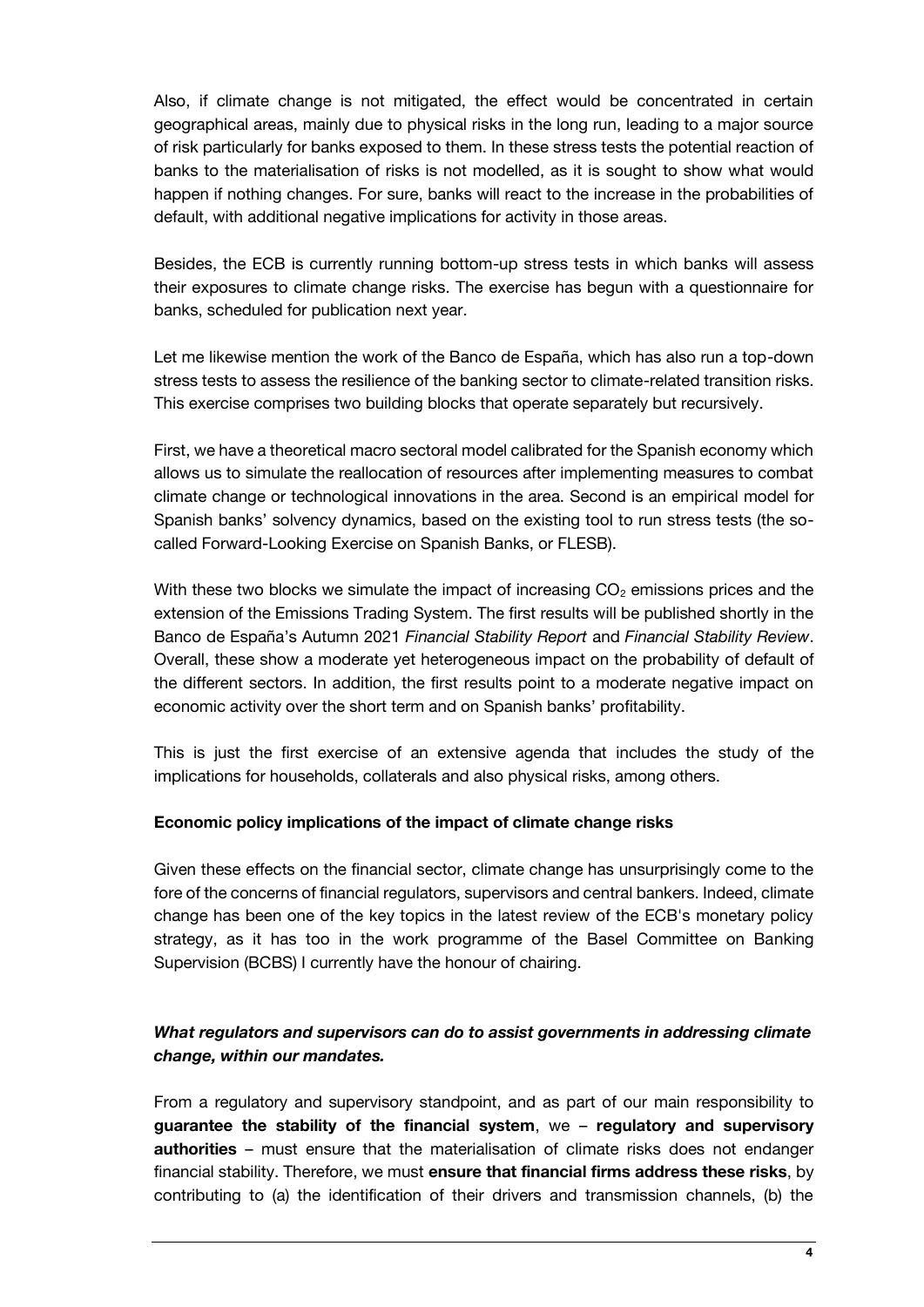Also, if climate change is not mitigated, the effect would be concentrated in certain geographical areas, mainly due to physical risks in the long run, leading to a major source of risk particularly for banks exposed to them. In these stress tests the potential reaction of banks to the materialisation of risks is not modelled, as it is sought to show what would happen if nothing changes. For sure, banks will react to the increase in the probabilities of default, with additional negative implications for activity in those areas.

Besides, the ECB is currently running bottom-up stress tests in which banks will assess their exposures to climate change risks. The exercise has begun with a questionnaire for banks, scheduled for publication next year.

Let me likewise mention the work of the Banco de España, which has also run a top-down stress tests to assess the resilience of the banking sector to climate-related transition risks. This exercise comprises two building blocks that operate separately but recursively.

First, we have a theoretical macro sectoral model calibrated for the Spanish economy which allows us to simulate the reallocation of resources after implementing measures to combat climate change or technological innovations in the area. Second is an empirical model for Spanish banks' solvency dynamics, based on the existing tool to run stress tests (the socalled Forward-Looking Exercise on Spanish Banks, or FLESB).

With these two blocks we simulate the impact of increasing  $CO<sub>2</sub>$  emissions prices and the extension of the Emissions Trading System. The first results will be published shortly in the Banco de España's Autumn 2021 *Financial Stability Report* and *Financial Stability Review*. Overall, these show a moderate yet heterogeneous impact on the probability of default of the different sectors. In addition, the first results point to a moderate negative impact on economic activity over the short term and on Spanish banks' profitability.

This is just the first exercise of an extensive agenda that includes the study of the implications for households, collaterals and also physical risks, among others.

### **Economic policy implications of the impact of climate change risks**

Given these effects on the financial sector, climate change has unsurprisingly come to the fore of the concerns of financial regulators, supervisors and central bankers. Indeed, climate change has been one of the key topics in the latest review of the ECB's monetary policy strategy, as it has too in the work programme of the Basel Committee on Banking Supervision (BCBS) I currently have the honour of chairing.

# *What regulators and supervisors can do to assist governments in addressing climate change, within our mandates.*

From a regulatory and supervisory standpoint, and as part of our main responsibility to **guarantee the stability of the financial system**, we – **regulatory and supervisory authorities** – must ensure that the materialisation of climate risks does not endanger financial stability. Therefore, we must **ensure that financial firms address these risks**, by contributing to (a) the identification of their drivers and transmission channels, (b) the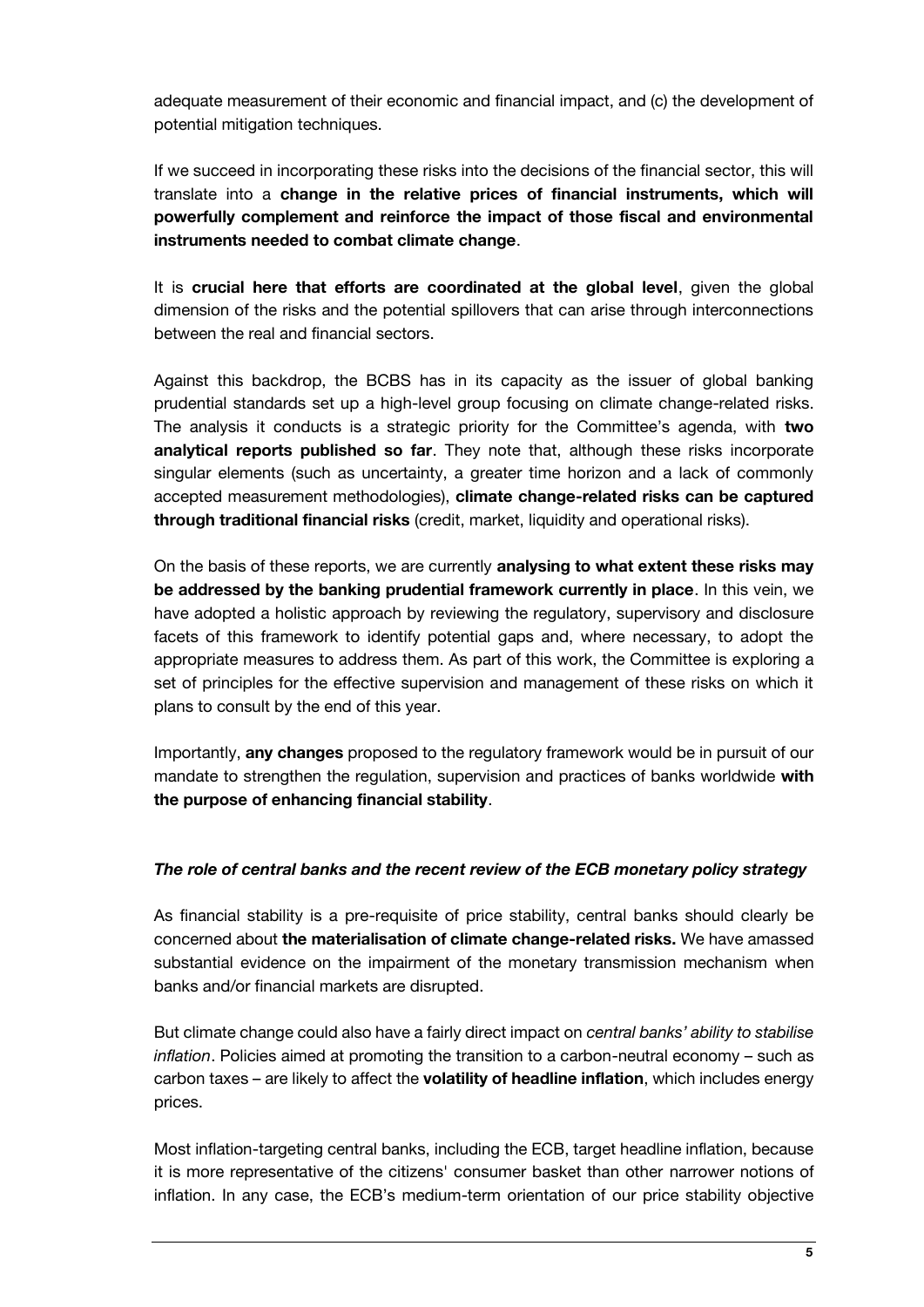adequate measurement of their economic and financial impact, and (c) the development of potential mitigation techniques.

If we succeed in incorporating these risks into the decisions of the financial sector, this will translate into a **change in the relative prices of financial instruments, which will powerfully complement and reinforce the impact of those fiscal and environmental instruments needed to combat climate change**.

It is **crucial here that efforts are coordinated at the global level**, given the global dimension of the risks and the potential spillovers that can arise through interconnections between the real and financial sectors.

Against this backdrop, the BCBS has in its capacity as the issuer of global banking prudential standards set up a high-level group focusing on climate change-related risks. The analysis it conducts is a strategic priority for the Committee's agenda, with **two analytical reports published so far**. They note that, although these risks incorporate singular elements (such as uncertainty, a greater time horizon and a lack of commonly accepted measurement methodologies), **climate change-related risks can be captured through traditional financial risks** (credit, market, liquidity and operational risks).

On the basis of these reports, we are currently **analysing to what extent these risks may be addressed by the banking prudential framework currently in place**. In this vein, we have adopted a holistic approach by reviewing the regulatory, supervisory and disclosure facets of this framework to identify potential gaps and, where necessary, to adopt the appropriate measures to address them. As part of this work, the Committee is exploring a set of principles for the effective supervision and management of these risks on which it plans to consult by the end of this year.

Importantly, **any changes** proposed to the regulatory framework would be in pursuit of our mandate to strengthen the regulation, supervision and practices of banks worldwide **with the purpose of enhancing financial stability**.

### *The role of central banks and the recent review of the ECB monetary policy strategy*

As financial stability is a pre-requisite of price stability, central banks should clearly be concerned about **the materialisation of climate change-related risks.** We have amassed substantial evidence on the impairment of the monetary transmission mechanism when banks and/or financial markets are disrupted.

But climate change could also have a fairly direct impact on *central banks' ability to stabilise inflation*. Policies aimed at promoting the transition to a carbon-neutral economy – such as carbon taxes – are likely to affect the **volatility of headline inflation**, which includes energy prices.

Most inflation-targeting central banks, including the ECB, target headline inflation, because it is more representative of the citizens' consumer basket than other narrower notions of inflation. In any case, the ECB's medium-term orientation of our price stability objective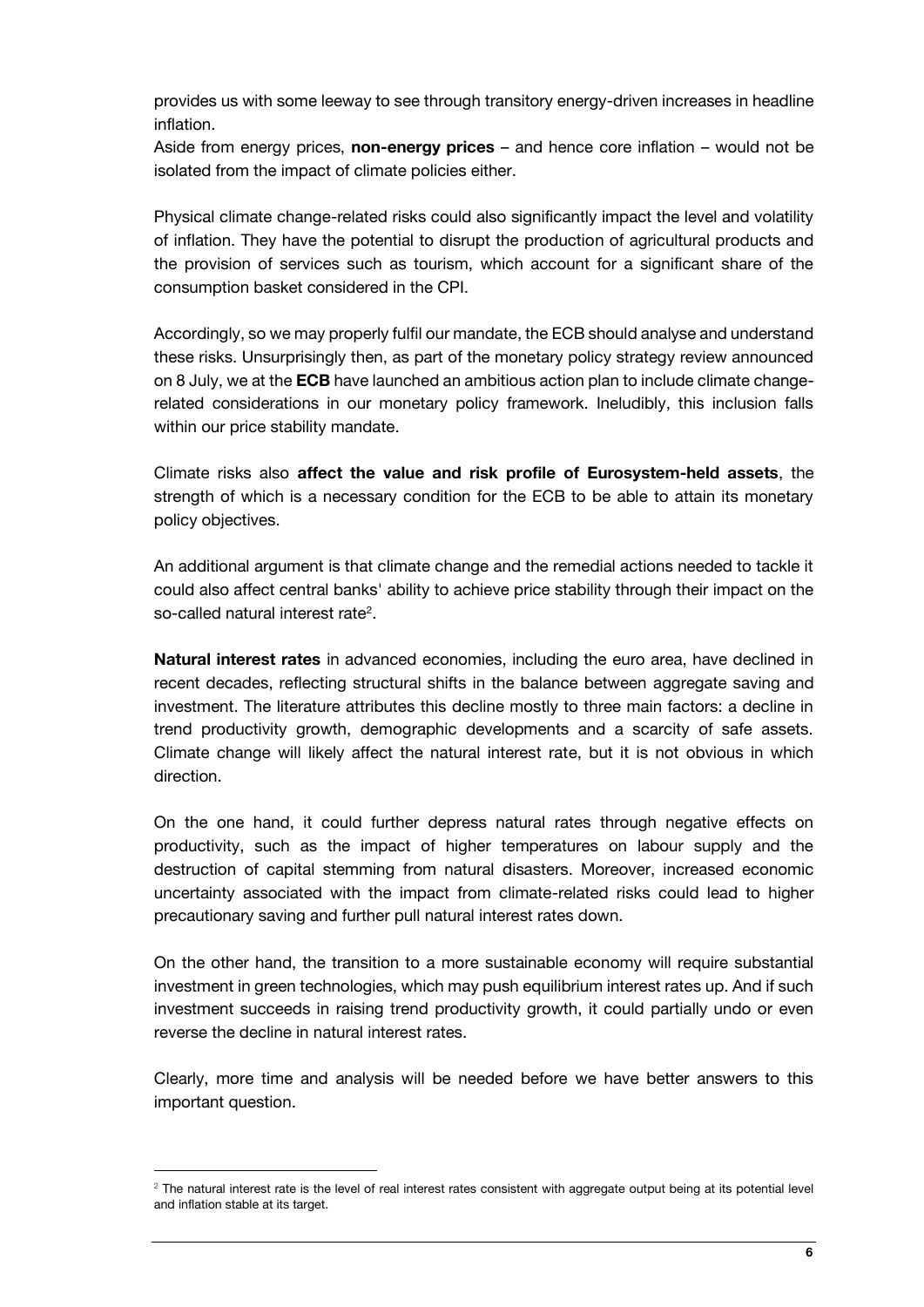provides us with some leeway to see through transitory energy-driven increases in headline inflation.

Aside from energy prices, **non-energy prices** – and hence core inflation – would not be isolated from the impact of climate policies either.

Physical climate change-related risks could also significantly impact the level and volatility of inflation. They have the potential to disrupt the production of agricultural products and the provision of services such as tourism, which account for a significant share of the consumption basket considered in the CPI.

Accordingly, so we may properly fulfil our mandate, the ECB should analyse and understand these risks. Unsurprisingly then, as part of the monetary policy strategy review announced on 8 July, we at the **ECB** have launched an ambitious action plan to include climate changerelated considerations in our monetary policy framework. Ineludibly, this inclusion falls within our price stability mandate.

Climate risks also **affect the value and risk profile of Eurosystem-held assets**, the strength of which is a necessary condition for the ECB to be able to attain its monetary policy objectives.

An additional argument is that climate change and the remedial actions needed to tackle it could also affect central banks' ability to achieve price stability through their impact on the so-called natural interest rate<sup>2</sup>.

**Natural interest rates** in advanced economies, including the euro area, have declined in recent decades, reflecting structural shifts in the balance between aggregate saving and investment. The literature attributes this decline mostly to three main factors: a decline in trend productivity growth, demographic developments and a scarcity of safe assets. Climate change will likely affect the natural interest rate, but it is not obvious in which direction.

On the one hand, it could further depress natural rates through negative effects on productivity, such as the impact of higher temperatures on labour supply and the destruction of capital stemming from natural disasters. Moreover, increased economic uncertainty associated with the impact from climate-related risks could lead to higher precautionary saving and further pull natural interest rates down.

On the other hand, the transition to a more sustainable economy will require substantial investment in green technologies, which may push equilibrium interest rates up. And if such investment succeeds in raising trend productivity growth, it could partially undo or even reverse the decline in natural interest rates.

Clearly, more time and analysis will be needed before we have better answers to this important question.

1

 $2$  The natural interest rate is the level of real interest rates consistent with aggregate output being at its potential level and inflation stable at its target.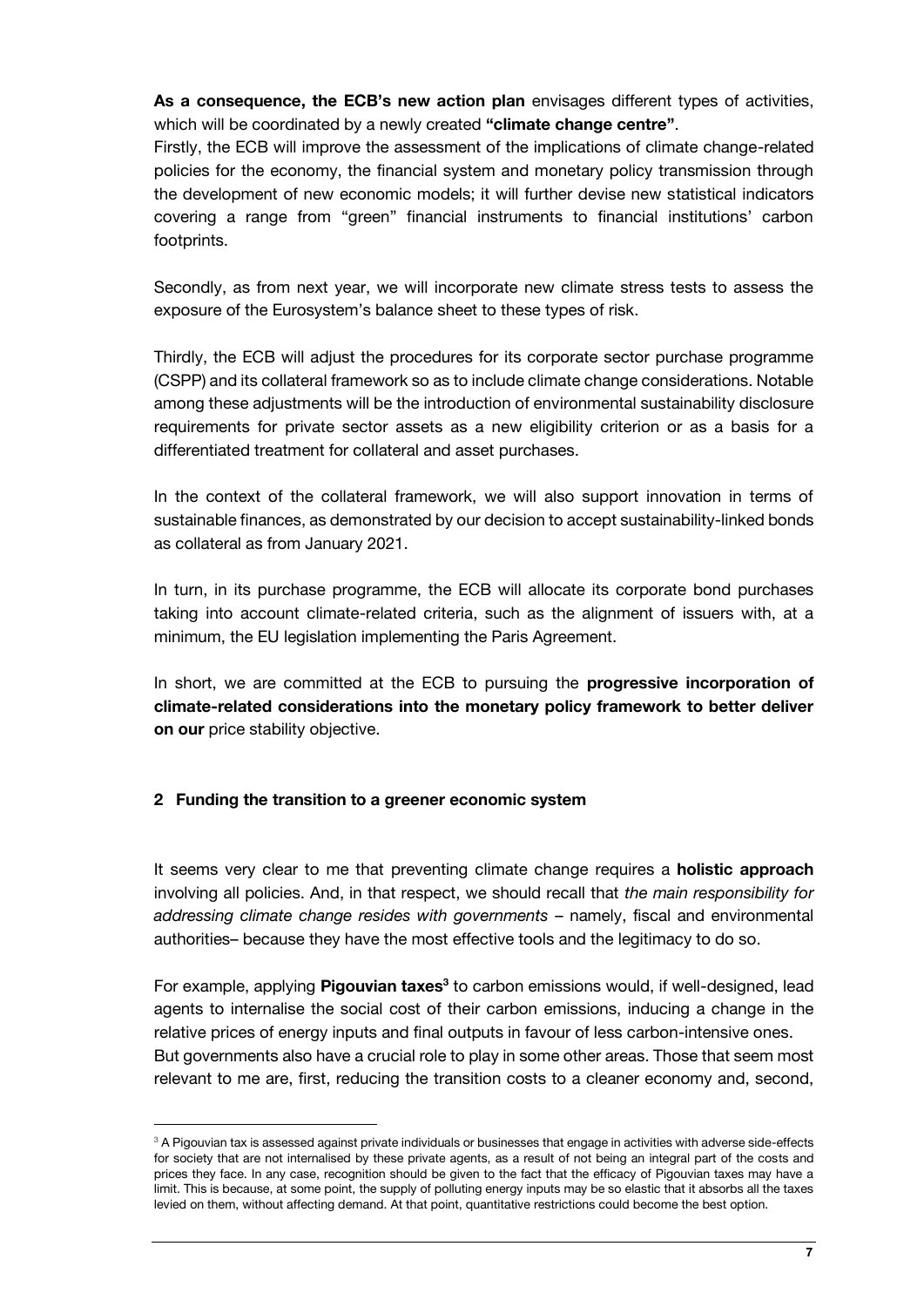**As a consequence, the ECB's new action plan** envisages different types of activities, which will be coordinated by a newly created **"climate change centre"**.

Firstly, the ECB will improve the assessment of the implications of climate change-related policies for the economy, the financial system and monetary policy transmission through the development of new economic models; it will further devise new statistical indicators covering a range from "green" financial instruments to financial institutions' carbon footprints.

Secondly, as from next year, we will incorporate new climate stress tests to assess the exposure of the Eurosystem's balance sheet to these types of risk.

Thirdly, the ECB will adjust the procedures for its corporate sector purchase programme (CSPP) and its collateral framework so as to include climate change considerations. Notable among these adjustments will be the introduction of environmental sustainability disclosure requirements for private sector assets as a new eligibility criterion or as a basis for a differentiated treatment for collateral and asset purchases.

In the context of the collateral framework, we will also support innovation in terms of sustainable finances, as demonstrated by our decision to accept sustainability-linked bonds as collateral as from January 2021.

In turn, in its purchase programme, the ECB will allocate its corporate bond purchases taking into account climate-related criteria, such as the alignment of issuers with, at a minimum, the EU legislation implementing the Paris Agreement.

In short, we are committed at the ECB to pursuing the **progressive incorporation of climate-related considerations into the monetary policy framework to better deliver on our** price stability objective.

# **2 Funding the transition to a greener economic system**

1

It seems very clear to me that preventing climate change requires a **holistic approach**  involving all policies. And, in that respect, we should recall that *the main responsibility for addressing climate change resides with governments* – namely, fiscal and environmental authorities– because they have the most effective tools and the legitimacy to do so.

For example, applying **Pigouvian taxes<sup>3</sup>** to carbon emissions would, if well-designed, lead agents to internalise the social cost of their carbon emissions, inducing a change in the relative prices of energy inputs and final outputs in favour of less carbon-intensive ones. But governments also have a crucial role to play in some other areas. Those that seem most relevant to me are, first, reducing the transition costs to a cleaner economy and, second,

<sup>&</sup>lt;sup>3</sup> A Pigouvian tax is assessed against private individuals or businesses that engage in activities with adverse side-effects for society that are not internalised by these private agents, as a result of not being an integral part of the costs and prices they face. In any case, recognition should be given to the fact that the efficacy of Pigouvian taxes may have a limit. This is because, at some point, the supply of polluting energy inputs may be so elastic that it absorbs all the taxes levied on them, without affecting demand. At that point, quantitative restrictions could become the best option.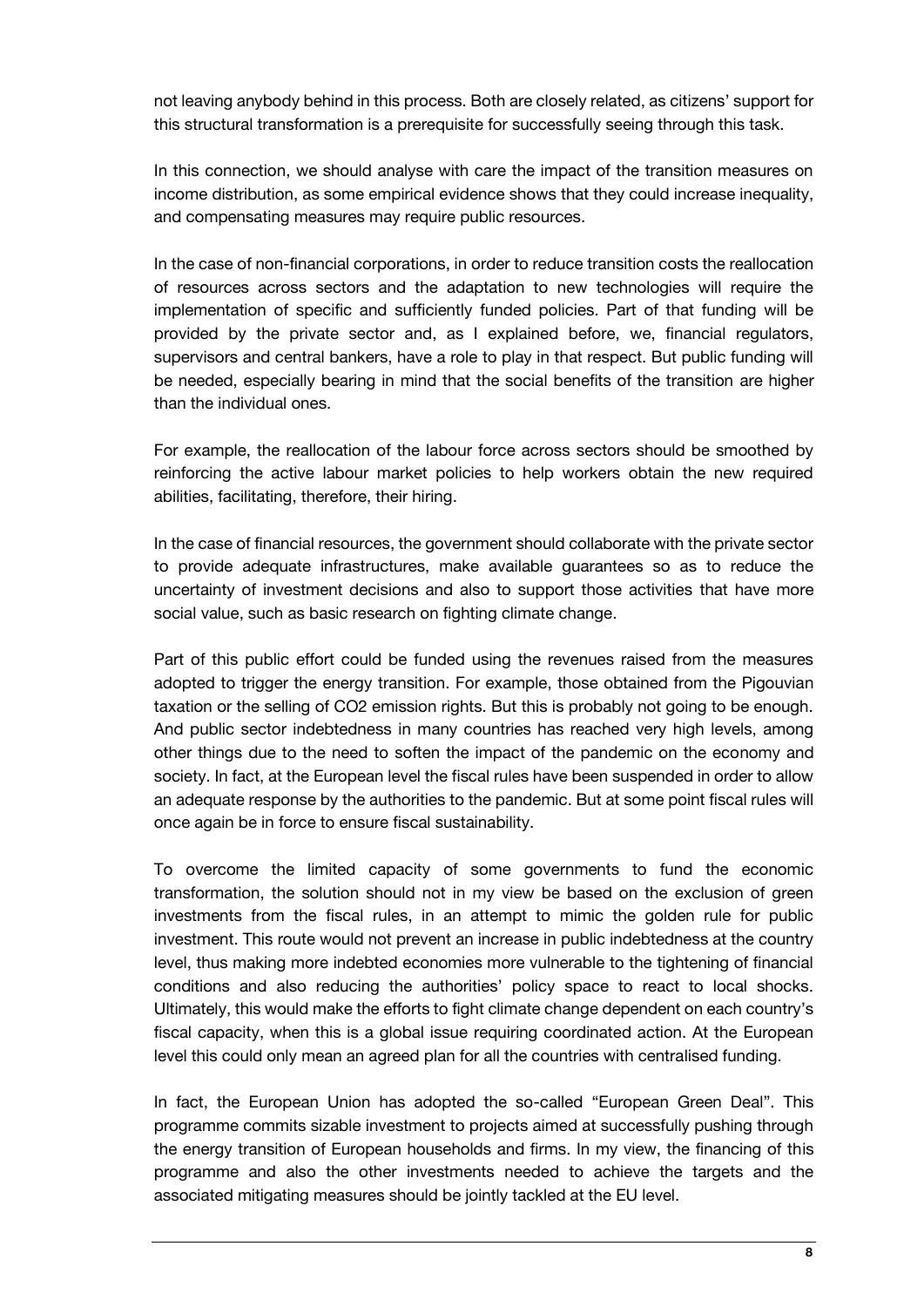not leaving anybody behind in this process. Both are closely related, as citizens' support for this structural transformation is a prerequisite for successfully seeing through this task.

In this connection, we should analyse with care the impact of the transition measures on income distribution, as some empirical evidence shows that they could increase inequality, and compensating measures may require public resources.

In the case of non-financial corporations, in order to reduce transition costs the reallocation of resources across sectors and the adaptation to new technologies will require the implementation of specific and sufficiently funded policies. Part of that funding will be provided by the private sector and, as I explained before, we, financial regulators, supervisors and central bankers, have a role to play in that respect. But public funding will be needed, especially bearing in mind that the social benefits of the transition are higher than the individual ones.

For example, the reallocation of the labour force across sectors should be smoothed by reinforcing the active labour market policies to help workers obtain the new required abilities, facilitating, therefore, their hiring.

In the case of financial resources, the government should collaborate with the private sector to provide adequate infrastructures, make available guarantees so as to reduce the uncertainty of investment decisions and also to support those activities that have more social value, such as basic research on fighting climate change.

Part of this public effort could be funded using the revenues raised from the measures adopted to trigger the energy transition. For example, those obtained from the Pigouvian taxation or the selling of CO2 emission rights. But this is probably not going to be enough. And public sector indebtedness in many countries has reached very high levels, among other things due to the need to soften the impact of the pandemic on the economy and society. In fact, at the European level the fiscal rules have been suspended in order to allow an adequate response by the authorities to the pandemic. But at some point fiscal rules will once again be in force to ensure fiscal sustainability.

To overcome the limited capacity of some governments to fund the economic transformation, the solution should not in my view be based on the exclusion of green investments from the fiscal rules, in an attempt to mimic the golden rule for public investment. This route would not prevent an increase in public indebtedness at the country level, thus making more indebted economies more vulnerable to the tightening of financial conditions and also reducing the authorities' policy space to react to local shocks. Ultimately, this would make the efforts to fight climate change dependent on each country's fiscal capacity, when this is a global issue requiring coordinated action. At the European level this could only mean an agreed plan for all the countries with centralised funding.

In fact, the European Union has adopted the so-called "European Green Deal". This programme commits sizable investment to projects aimed at successfully pushing through the energy transition of European households and firms. In my view, the financing of this programme and also the other investments needed to achieve the targets and the associated mitigating measures should be jointly tackled at the EU level.